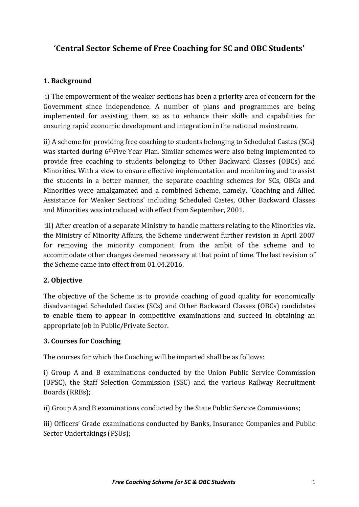# **'Central Sector Scheme of Free Coaching for SC and OBC Students'**

## **1. Background**

i) The empowerment of the weaker sections has been a priority area of concern for the Government since independence. A number of plans and programmes are being implemented for assisting them so as to enhance their skills and capabilities for ensuring rapid economic development and integration in the national mainstream.

ii) A scheme for providing free coaching to students belonging to Scheduled Castes (SCs) was started during 6thFive Year Plan. Similar schemes were also being implemented to provide free coaching to students belonging to Other Backward Classes (OBCs) and Minorities. With a view to ensure effective implementation and monitoring and to assist the students in a better manner, the separate coaching schemes for SCs, OBCs and Minorities were amalgamated and a combined Scheme, namely, 'Coaching and Allied Assistance for Weaker Sections' including Scheduled Castes, Other Backward Classes and Minorities was introduced with effect from September, 2001.

iii) After creation of a separate Ministry to handle matters relating to the Minorities viz. the Ministry of Minority Affairs, the Scheme underwent further revision in April 2007 for removing the minority component from the ambit of the scheme and to accommodate other changes deemed necessary at that point of time. The last revision of the Scheme came into effect from 01.04.2016.

#### **2. Objective**

The objective of the Scheme is to provide coaching of good quality for economically disadvantaged Scheduled Castes (SCs) and Other Backward Classes (OBCs) candidates to enable them to appear in competitive examinations and succeed in obtaining an appropriate job in Public/Private Sector.

#### **3. Courses for Coaching**

The courses for which the Coaching will be imparted shall be as follows:

i) Group A and B examinations conducted by the Union Public Service Commission (UPSC), the Staff Selection Commission (SSC) and the various Railway Recruitment Boards (RRBs);

ii) Group A and B examinations conducted by the State Public Service Commissions;

iii) Officers' Grade examinations conducted by Banks, Insurance Companies and Public Sector Undertakings (PSUs);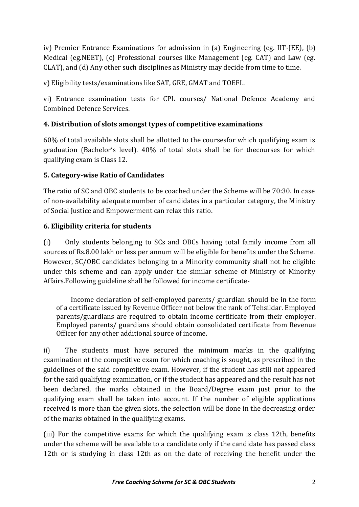iv) Premier Entrance Examinations for admission in (a) Engineering (eg. IIT-JEE), (b) Medical (eg.NEET), (c) Professional courses like Management (eg. CAT) and Law (eg. CLAT), and (d) Any other such disciplines as Ministry may decide from time to time.

v) Eligibility tests/examinations like SAT, GRE, GMAT and TOEFL.

vi) Entrance examination tests for CPL courses/ National Defence Academy and Combined Defence Services.

## **4. Distribution of slots amongst types of competitive examinations**

60% of total available slots shall be allotted to the coursesfor which qualifying exam is graduation (Bachelor's level). 40% of total slots shall be for thecourses for which qualifying exam is Class 12.

## **5. Category-wise Ratio of Candidates**

The ratio of SC and OBC students to be coached under the Scheme will be 70:30. In case of non-availability adequate number of candidates in a particular category, the Ministry of Social Justice and Empowerment can relax this ratio.

## **6. Eligibility criteria for students**

(i) Only students belonging to SCs and OBCs having total family income from all sources of Rs.8.00 lakh or less per annum will be eligible for benefits under the Scheme. However, SC/OBC candidates belonging to a Minority community shall not be eligible under this scheme and can apply under the similar scheme of Ministry of Minority Affairs.Following guideline shall be followed for income certificate-

Income declaration of self-employed parents/ guardian should be in the form of a certificate issued by Revenue Officer not below the rank of Tehsildar. Employed parents/guardians are required to obtain income certificate from their employer. Employed parents/ guardians should obtain consolidated certificate from Revenue Officer for any other additional source of income.

ii) The students must have secured the minimum marks in the qualifying examination of the competitive exam for which coaching is sought, as prescribed in the guidelines of the said competitive exam. However, if the student has still not appeared for the said qualifying examination, or if the student has appeared and the result has not been declared, the marks obtained in the Board/Degree exam just prior to the qualifying exam shall be taken into account. If the number of eligible applications received is more than the given slots, the selection will be done in the decreasing order of the marks obtained in the qualifying exams.

(iii) For the competitive exams for which the qualifying exam is class 12th, benefits under the scheme will be available to a candidate only if the candidate has passed class 12th or is studying in class 12th as on the date of receiving the benefit under the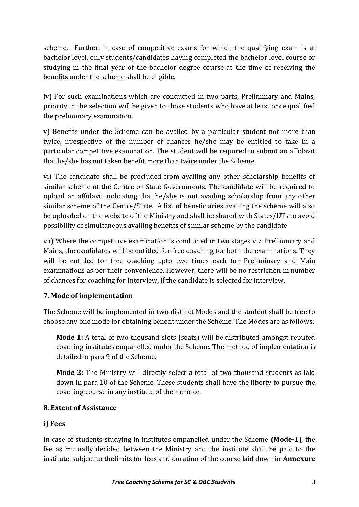scheme. Further, in case of competitive exams for which the qualifying exam is at bachelor level, only students/candidates having completed the bachelor level course or studying in the final year of the bachelor degree course at the time of receiving the benefits under the scheme shall be eligible.

iv) For such examinations which are conducted in two parts, Preliminary and Mains, priority in the selection will be given to those students who have at least once qualified the preliminary examination.

v) Benefits under the Scheme can be availed by a particular student not more than twice, irrespective of the number of chances he/she may be entitled to take in a particular competitive examination. The student will be required to submit an affidavit that he/she has not taken benefit more than twice under the Scheme.

vi) The candidate shall be precluded from availing any other scholarship benefits of similar scheme of the Centre or State Governments. The candidate will be required to upload an affidavit indicating that he/she is not availing scholarship from any other similar scheme of the Centre/State. A list of beneficiaries availing the scheme will also be uploaded on the website of the Ministry and shall be shared with States/UTs to avoid possibility of simultaneous availing benefits of similar scheme by the candidate

vii) Where the competitive examination is conducted in two stages viz. Preliminary and Mains, the candidates will be entitled for free coaching for both the examinations. They will be entitled for free coaching upto two times each for Preliminary and Main examinations as per their convenience. However, there will be no restriction in number of chances for coaching for Interview, if the candidate is selected for interview.

## **7. Mode of implementation**

The Scheme will be implemented in two distinct Modes and the student shall be free to choose any one mode for obtaining benefit under the Scheme. The Modes are as follows:

**Mode 1:** A total of two thousand slots (seats) will be distributed amongst reputed coaching institutes empanelled under the Scheme. The method of implementation is detailed in para 9 of the Scheme.

**Mode 2:** The Ministry will directly select a total of two thousand students as laid down in para 10 of the Scheme. These students shall have the liberty to pursue the coaching course in any institute of their choice.

#### **8**. **Extent of Assistance**

#### **i) Fees**

In case of students studying in institutes empanelled under the Scheme **(Mode-1)**, the fee as mutually decided between the Ministry and the institute shall be paid to the institute, subject to thelimits for fees and duration of the course laid down in **Annexure**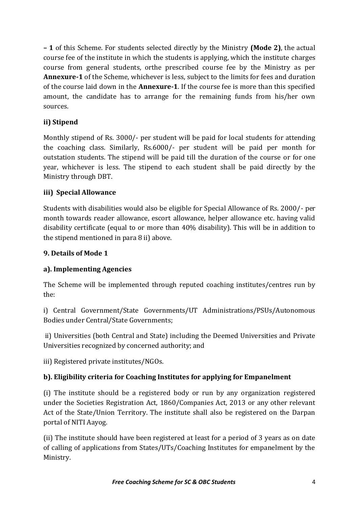**– 1** of this Scheme. For students selected directly by the Ministry **(Mode 2)**, the actual course fee of the institute in which the students is applying, which the institute charges course from general students, orthe prescribed course fee by the Ministry as per **Annexure-1** of the Scheme, whichever is less, subject to the limits for fees and duration of the course laid down in the **Annexure-1**. If the course fee is more than this specified amount, the candidate has to arrange for the remaining funds from his/her own sources.

## **ii) Stipend**

Monthly stipend of Rs. 3000/- per student will be paid for local students for attending the coaching class. Similarly, Rs.6000/- per student will be paid per month for outstation students. The stipend will be paid till the duration of the course or for one year, whichever is less. The stipend to each student shall be paid directly by the Ministry through DBT.

## **iii) Special Allowance**

Students with disabilities would also be eligible for Special Allowance of Rs. 2000/- per month towards reader allowance, escort allowance, helper allowance etc. having valid disability certificate (equal to or more than 40% disability). This will be in addition to the stipend mentioned in para 8 ii) above.

#### **9. Details of Mode 1**

## **a). Implementing Agencies**

The Scheme will be implemented through reputed coaching institutes/centres run by the:

i) Central Government/State Governments/UT Administrations/PSUs/Autonomous Bodies under Central/State Governments;

ii) Universities (both Central and State) including the Deemed Universities and Private Universities recognized by concerned authority; and

iii) Registered private institutes/NGOs.

## **b). Eligibility criteria for Coaching Institutes for applying for Empanelment**

(i) The institute should be a registered body or run by any organization registered under the Societies Registration Act, 1860/Companies Act, 2013 or any other relevant Act of the State/Union Territory. The institute shall also be registered on the Darpan portal of NITI Aayog.

(ii) The institute should have been registered at least for a period of 3 years as on date of calling of applications from States/UTs/Coaching Institutes for empanelment by the Ministry.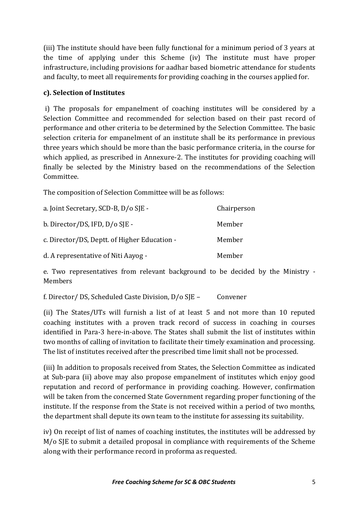(iii) The institute should have been fully functional for a minimum period of 3 years at the time of applying under this Scheme (iv) The institute must have proper infrastructure, including provisions for aadhar based biometric attendance for students and faculty, to meet all requirements for providing coaching in the courses applied for.

#### **c). Selection of Institutes**

i) The proposals for empanelment of coaching institutes will be considered by a Selection Committee and recommended for selection based on their past record of performance and other criteria to be determined by the Selection Committee. The basic selection criteria for empanelment of an institute shall be its performance in previous three years which should be more than the basic performance criteria, in the course for which applied, as prescribed in Annexure-2. The institutes for providing coaching will finally be selected by the Ministry based on the recommendations of the Selection Committee.

The composition of Selection Committee will be as follows:

| a. Joint Secretary, SCD-B, D/o SJE -         | Chairperson |
|----------------------------------------------|-------------|
| b. Director/DS, IFD, D/o SJE -               | Member      |
| c. Director/DS, Deptt. of Higher Education - | Member      |
| d. A representative of Niti Aayog -          | Member      |

e. Two representatives from relevant background to be decided by the Ministry - Members

f. Director/ DS, Scheduled Caste Division, D/o SJE – Convener

(ii) The States/UTs will furnish a list of at least 5 and not more than 10 reputed coaching institutes with a proven track record of success in coaching in courses identified in Para-3 here-in-above. The States shall submit the list of institutes within two months of calling of invitation to facilitate their timely examination and processing. The list of institutes received after the prescribed time limit shall not be processed.

(iii) In addition to proposals received from States, the Selection Committee as indicated at Sub-para (ii) above may also propose empanelment of institutes which enjoy good reputation and record of performance in providing coaching. However, confirmation will be taken from the concerned State Government regarding proper functioning of the institute. If the response from the State is not received within a period of two months, the department shall depute its own team to the institute for assessing its suitability.

iv) On receipt of list of names of coaching institutes, the institutes will be addressed by M/o SJE to submit a detailed proposal in compliance with requirements of the Scheme along with their performance record in proforma as requested.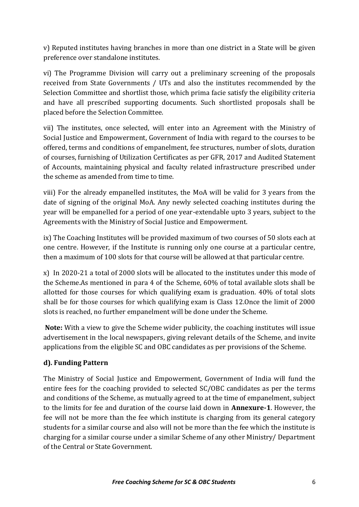v) Reputed institutes having branches in more than one district in a State will be given preference over standalone institutes.

vi) The Programme Division will carry out a preliminary screening of the proposals received from State Governments / UTs and also the institutes recommended by the Selection Committee and shortlist those, which prima facie satisfy the eligibility criteria and have all prescribed supporting documents. Such shortlisted proposals shall be placed before the Selection Committee.

vii) The institutes, once selected, will enter into an Agreement with the Ministry of Social Justice and Empowerment, Government of India with regard to the courses to be offered, terms and conditions of empanelment, fee structures, number of slots, duration of courses, furnishing of Utilization Certificates as per GFR, 2017 and Audited Statement of Accounts, maintaining physical and faculty related infrastructure prescribed under the scheme as amended from time to time.

viii) For the already empanelled institutes, the MoA will be valid for 3 years from the date of signing of the original MoA. Any newly selected coaching institutes during the year will be empanelled for a period of one year-extendable upto 3 years, subject to the Agreements with the Ministry of Social Justice and Empowerment.

ix) The Coaching Institutes will be provided maximum of two courses of 50 slots each at one centre. However, if the Institute is running only one course at a particular centre, then a maximum of 100 slots for that course will be allowed at that particular centre.

x) In 2020-21 a total of 2000 slots will be allocated to the institutes under this mode of the Scheme.As mentioned in para 4 of the Scheme, 60% of total available slots shall be allotted for those courses for which qualifying exam is graduation. 40% of total slots shall be for those courses for which qualifying exam is Class 12.Once the limit of 2000 slots is reached, no further empanelment will be done under the Scheme.

**Note:** With a view to give the Scheme wider publicity, the coaching institutes will issue advertisement in the local newspapers, giving relevant details of the Scheme, and invite applications from the eligible SC and OBC candidates as per provisions of the Scheme.

## **d). Funding Pattern**

The Ministry of Social Justice and Empowerment, Government of India will fund the entire fees for the coaching provided to selected SC/OBC candidates as per the terms and conditions of the Scheme, as mutually agreed to at the time of empanelment, subject to the limits for fee and duration of the course laid down in **Annexure-1**. However, the fee will not be more than the fee which institute is charging from its general category students for a similar course and also will not be more than the fee which the institute is charging for a similar course under a similar Scheme of any other Ministry/ Department of the Central or State Government.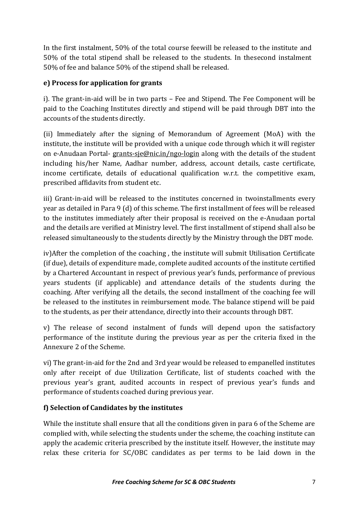In the first instalment, 50% of the total course feewill be released to the institute and 50% of the total stipend shall be released to the students. In thesecond instalment 50% of fee and balance 50% of the stipend shall be released.

## **e) Process for application for grants**

i). The grant-in-aid will be in two parts – Fee and Stipend. The Fee Component will be paid to the Coaching Institutes directly and stipend will be paid through DBT into the accounts of the students directly.

(ii) Immediately after the signing of Memorandum of Agreement (MoA) with the institute, the institute will be provided with a unique code through which it will register on e-Anudaan Portal- [grants-sje@nic.in/ngo-login](mailto:grants-sje@nic.in/ngo-login) along with the details of the student including his/her Name, Aadhar number, address, account details, caste certificate, income certificate, details of educational qualification w.r.t. the competitive exam, prescribed affidavits from student etc.

iii) Grant-in-aid will be released to the institutes concerned in twoinstallments every year as detailed in Para 9 (d) of this scheme. The first installment of fees will be released to the institutes immediately after their proposal is received on the e-Anudaan portal and the details are verified at Ministry level. The first installment of stipend shall also be released simultaneously to the students directly by the Ministry through the DBT mode.

iv)After the completion of the coaching , the institute will submit Utilisation Certificate (if due), details of expenditure made, complete audited accounts of the institute certified by a Chartered Accountant in respect of previous year's funds, performance of previous years students (if applicable) and attendance details of the students during the coaching. After verifying all the details, the second installment of the coaching fee will be released to the institutes in reimbursement mode. The balance stipend will be paid to the students, as per their attendance, directly into their accounts through DBT.

v) The release of second instalment of funds will depend upon the satisfactory performance of the institute during the previous year as per the criteria fixed in the Annexure 2 of the Scheme.

vi) The grant-in-aid for the 2nd and 3rd year would be released to empanelled institutes only after receipt of due Utilization Certificate, list of students coached with the previous year's grant, audited accounts in respect of previous year's funds and performance of students coached during previous year.

#### **f) Selection of Candidates by the institutes**

While the institute shall ensure that all the conditions given in para 6 of the Scheme are complied with, while selecting the students under the scheme, the coaching institute can apply the academic criteria prescribed by the institute itself. However, the institute may relax these criteria for SC/OBC candidates as per terms to be laid down in the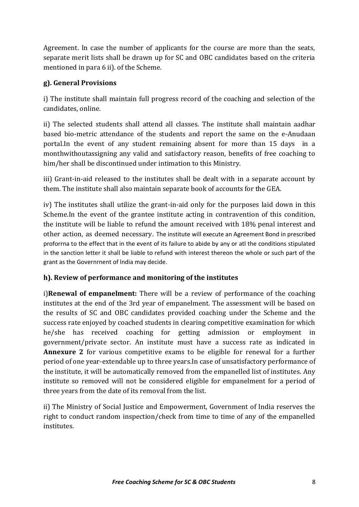Agreement. In case the number of applicants for the course are more than the seats, separate merit lists shall be drawn up for SC and OBC candidates based on the criteria mentioned in para 6 ii). of the Scheme.

## **g). General Provisions**

i) The institute shall maintain full progress record of the coaching and selection of the candidates, online.

ii) The selected students shall attend all classes. The institute shall maintain aadhar based bio-metric attendance of the students and report the same on the e-Anudaan portal.In the event of any student remaining absent for more than 15 days in a monthwithoutassigning any valid and satisfactory reason, benefits of free coaching to him/her shall be discontinued under intimation to this Ministry.

iii) Grant-in-aid released to the institutes shall be dealt with in a separate account by them. The institute shall also maintain separate book of accounts for the GEA.

iv) The institutes shall utilize the grant-in-aid only for the purposes laid down in this Scheme.In the event of the grantee institute acting in contravention of this condition, the institute will be liable to refund the amount received with 18% penal interest and other action, as deemed necessary. The institute will execute an Agreement Bond in prescribed proforrna to the effect that in the event of its failure to abide by any or atl the conditions stipulated in the sanction letter it shall be liable to refund with interest thereon the whole or such part of the grant as the Governrnent of lndia may decide.

#### **h). Review of performance and monitoring of the institutes**

i)**Renewal of empanelment:** There will be a review of performance of the coaching institutes at the end of the 3rd year of empanelment. The assessment will be based on the results of SC and OBC candidates provided coaching under the Scheme and the success rate enjoyed by coached students in clearing competitive examination for which he/she has received coaching for getting admission or employment in government/private sector. An institute must have a success rate as indicated in **Annexure 2** for various competitive exams to be eligible for renewal for a further period of one year-extendable up to three years.In case of unsatisfactory performance of the institute, it will be automatically removed from the empanelled list of institutes. Any institute so removed will not be considered eligible for empanelment for a period of three years from the date of its removal from the list.

ii) The Ministry of Social Justice and Empowerment, Government of India reserves the right to conduct random inspection/check from time to time of any of the empanelled institutes.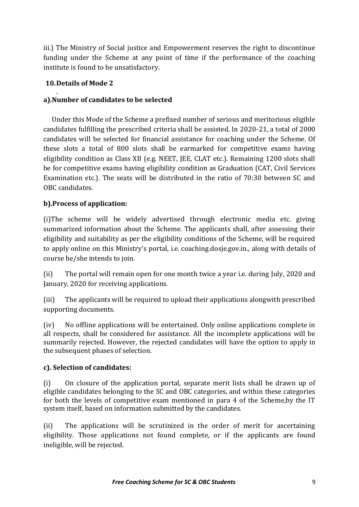iii.) The Ministry of Social justice and Empowerment reserves the right to discontinue funding under the Scheme at any point of time if the performance of the coaching institute is found to be unsatisfactory.

## **10.Details of Mode 2**

#### . **a).Number of candidates to be selected**

Under this Mode of the Scheme a prefixed number of serious and meritorious eligible candidates fulfilling the prescribed criteria shall be assisted. In 2020-21, a total of 2000 candidates will be selected for financial assistance for coaching under the Scheme. Of these slots a total of 800 slots shall be earmarked for competitive exams having eligibility condition as Class XII (e.g. NEET, JEE, CLAT etc.). Remaining 1200 slots shall be for competitive exams having eligibility condition as Graduation (CAT, Civil Services Examination etc.). The seats will be distributed in the ratio of 70:30 between SC and OBC candidates.

## **b).Process of application:**

(i)The scheme will be widely advertised through electronic media etc. giving summarized information about the Scheme. The applicants shall, after assessing their eligibility and suitability as per the eligibility conditions of the Scheme, will be required to apply online on this Ministry's portal, i.e. coaching.dosje.gov.in., along with details of course he/she intends to join.

(ii) The portal will remain open for one month twice a year i.e. during July, 2020 and January, 2020 for receiving applications.

(iii) The applicants will be required to upload their applications alongwith prescribed supporting documents.

(iv) No offline applications will be entertained. Only online applications complete in all respects, shall be considered for assistance. All the incomplete applications will be summarily rejected. However, the rejected candidates will have the option to apply in the subsequent phases of selection.

#### **c). Selection of candidates:**

(i) On closure of the application portal, separate merit lists shall be drawn up of eligible candidates belonging to the SC and OBC categories, and within these categories for both the levels of competitive exam mentioned in para 4 of the Scheme,by the IT system itself, based on information submitted by the candidates.

(ii) The applications will be scrutinized in the order of merit for ascertaining eligibility. Those applications not found complete, or if the applicants are found ineligible, will be rejected.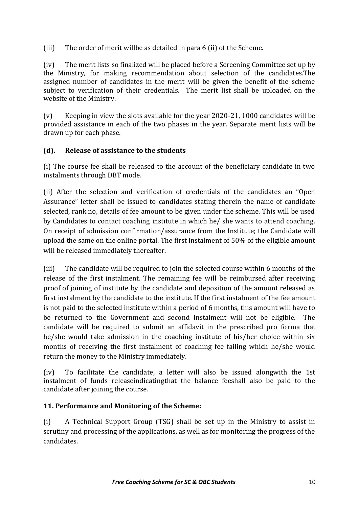(iii) The order of merit willbe as detailed in para 6 (ii) of the Scheme.

(iv) The merit lists so finalized will be placed before a Screening Committee set up by the Ministry, for making recommendation about selection of the candidates.The assigned number of candidates in the merit will be given the benefit of the scheme subject to verification of their credentials. The merit list shall be uploaded on the website of the Ministry.

(v) Keeping in view the slots available for the year 2020-21, 1000 candidates will be provided assistance in each of the two phases in the year. Separate merit lists will be drawn up for each phase.

## **(d). Release of assistance to the students**

(i) The course fee shall be released to the account of the beneficiary candidate in two instalments through DBT mode.

(ii) After the selection and verification of credentials of the candidates an "Open Assurance" letter shall be issued to candidates stating therein the name of candidate selected, rank no, details of fee amount to be given under the scheme. This will be used by Candidates to contact coaching institute in which he/ she wants to attend coaching. On receipt of admission confirmation/assurance from the Institute; the Candidate will upload the same on the online portal. The first instalment of 50% of the eligible amount will be released immediately thereafter.

(iii) The candidate will be required to join the selected course within 6 months of the release of the first instalment. The remaining fee will be reimbursed after receiving proof of joining of institute by the candidate and deposition of the amount released as first instalment by the candidate to the institute. If the first instalment of the fee amount is not paid to the selected institute within a period of 6 months, this amount will have to be returned to the Government and second instalment will not be eligible. The candidate will be required to submit an affidavit in the prescribed pro forma that he/she would take admission in the coaching institute of his/her choice within six months of receiving the first instalment of coaching fee failing which he/she would return the money to the Ministry immediately.

(iv) To facilitate the candidate, a letter will also be issued alongwith the 1st instalment of funds releaseindicatingthat the balance feeshall also be paid to the candidate after joining the course.

#### **11. Performance and Monitoring of the Scheme:**

(i) A Technical Support Group (TSG) shall be set up in the Ministry to assist in scrutiny and processing of the applications, as well as for monitoring the progress of the candidates.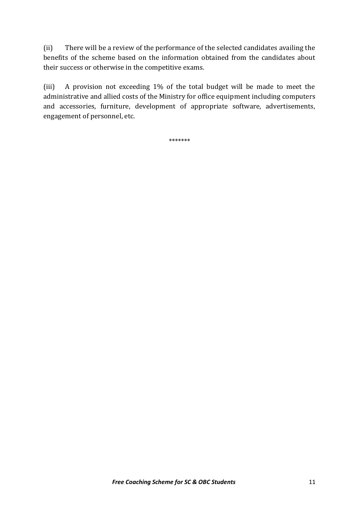(ii) There will be a review of the performance of the selected candidates availing the benefits of the scheme based on the information obtained from the candidates about their success or otherwise in the competitive exams.

(iii) A provision not exceeding 1% of the total budget will be made to meet the administrative and allied costs of the Ministry for office equipment including computers and accessories, furniture, development of appropriate software, advertisements, engagement of personnel, etc.

\*\*\*\*\*\*\*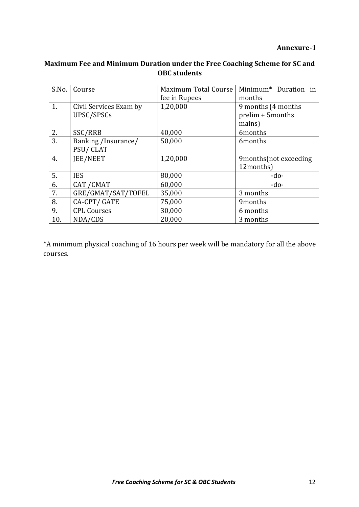#### **Annexure-1**

# **Maximum Fee and Minimum Duration under the Free Coaching Scheme for SC and OBC students**

| S.No. | Course                 | Maximum Total Course | Minimum <sup>*</sup> Duration in |
|-------|------------------------|----------------------|----------------------------------|
|       |                        | fee in Rupees        | months                           |
| 1.    | Civil Services Exam by | 1,20,000             | 9 months (4 months)              |
|       | UPSC/SPSCs             |                      | prelim + 5 months                |
|       |                        |                      | mains)                           |
| 2.    | SSC/RRB                | 40,000               | 6months                          |
| 3.    | Banking /Insurance/    | 50,000               | 6months                          |
|       | PSU/CLAT               |                      |                                  |
| 4.    | JEE/NEET               | 1,20,000             | 9 months (not exceeding          |
|       |                        |                      | 12months)                        |
| 5.    | <b>IES</b>             | 80,000               | $-do-$                           |
| 6.    | CAT / CMAT             | 60,000               | $-do-$                           |
| 7.    | GRE/GMAT/SAT/TOFEL     | 35,000               | 3 months                         |
| 8.    | CA-CPT/GATE            | 75,000               | 9months                          |
| 9.    | <b>CPL Courses</b>     | 30,000               | 6 months                         |
| 10.   | NDA/CDS                | 20,000               | 3 months                         |

\*A minimum physical coaching of 16 hours per week will be mandatory for all the above courses.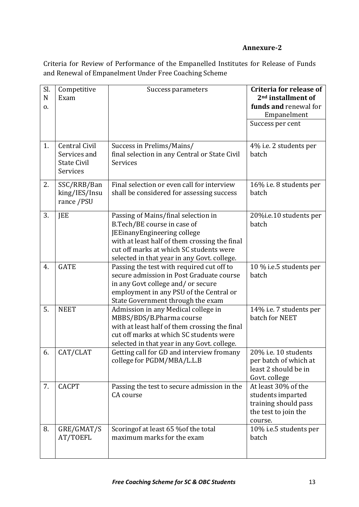#### **Annexure-2**

Criteria for Review of Performance of the Empanelled Institutes for Release of Funds and Renewal of Empanelment Under Free Coaching Scheme

| Sl.<br>N<br>0. | Competitive<br>Exam                                             | Success parameters                                                                                                                                                                                                                           | <b>Criteria for release of</b><br>2 <sup>nd</sup> installment of<br>funds and renewal for<br>Empanelment |
|----------------|-----------------------------------------------------------------|----------------------------------------------------------------------------------------------------------------------------------------------------------------------------------------------------------------------------------------------|----------------------------------------------------------------------------------------------------------|
|                |                                                                 |                                                                                                                                                                                                                                              | Success per cent                                                                                         |
| 1.             | Central Civil<br>Services and<br><b>State Civil</b><br>Services | Success in Prelims/Mains/<br>final selection in any Central or State Civil<br>Services                                                                                                                                                       | 4% i.e. 2 students per<br>batch                                                                          |
| 2.             | SSC/RRB/Ban<br>king/IES/Insu<br>rance /PSU                      | Final selection or even call for interview<br>shall be considered for assessing success                                                                                                                                                      | 16% i.e. 8 students per<br>batch                                                                         |
| 3.             | JEE                                                             | Passing of Mains/final selection in<br>B.Tech/BE course in case of<br>JEEinanyEngineering college<br>with at least half of them crossing the final<br>cut off marks at which SC students were<br>selected in that year in any Govt. college. | 20%i.e.10 students per<br>batch                                                                          |
| 4.             | <b>GATE</b>                                                     | Passing the test with required cut off to<br>secure admission in Post Graduate course<br>in any Govt college and/or secure<br>employment in any PSU of the Central or<br>State Government through the exam                                   | 10 % i.e.5 students per<br>batch                                                                         |
| 5.             | <b>NEET</b>                                                     | Admission in any Medical college in<br>MBBS/BDS/B.Pharma course<br>with at least half of them crossing the final<br>cut off marks at which SC students were<br>selected in that year in any Govt. college.                                   | 14% i.e. 7 students per<br>batch for NEET                                                                |
| 6.             | CAT/CLAT                                                        | Getting call for GD and interview fromany<br>college for PGDM/MBA/L.L.B                                                                                                                                                                      | 20% i.e. 10 students<br>per batch of which at<br>least 2 should be in<br>Govt. college                   |
| 7.             | <b>CACPT</b>                                                    | Passing the test to secure admission in the<br>CA course                                                                                                                                                                                     | At least 30% of the<br>students imparted<br>training should pass<br>the test to join the<br>course.      |
| 8.             | GRE/GMAT/S<br>AT/TOEFL                                          | Scoring of at least 65 % of the total<br>maximum marks for the exam                                                                                                                                                                          | 10% i.e.5 students per<br>batch                                                                          |